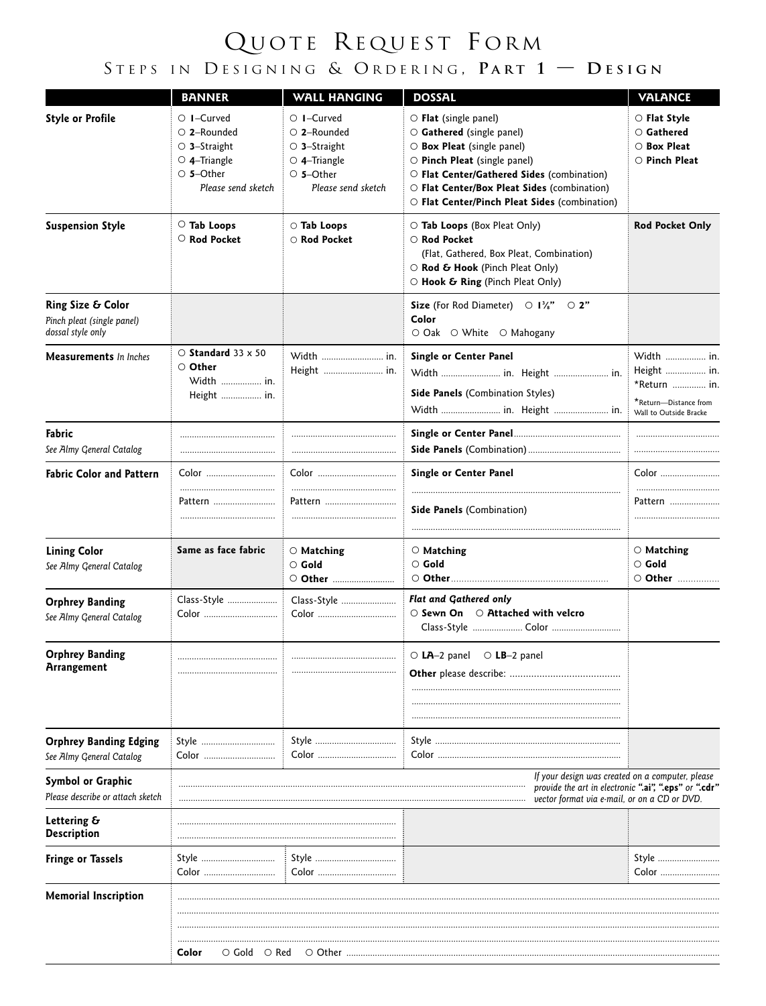## QUOTE REQUEST FORM STEPS IN DESIGNING & ORDERING, PART  $1 -$  DESIGN

|                                                                      | <b>BANNER</b>                                                                                                              | <b>WALL HANGING</b>                                                                                                        | <b>DOSSAL</b>                                                                                                                                                                                                                                                                          | <b>VALANCE</b>                                                                               |
|----------------------------------------------------------------------|----------------------------------------------------------------------------------------------------------------------------|----------------------------------------------------------------------------------------------------------------------------|----------------------------------------------------------------------------------------------------------------------------------------------------------------------------------------------------------------------------------------------------------------------------------------|----------------------------------------------------------------------------------------------|
| <b>Style or Profile</b>                                              | $\circ$ 1-Curved<br>$\circ$ 2-Rounded<br>$\circ$ 3-Straight<br>$\circ$ 4–Triangle<br>$\circ$ 5-Other<br>Please send sketch | $\circ$ 1-Curved<br>$\circ$ 2-Rounded<br>$\circ$ 3-Straight<br>$\circ$ 4-Triangle<br>$\circ$ 5-Other<br>Please send sketch | $\circ$ Flat (single panel)<br>$\circ$ Gathered (single panel)<br>$\circ$ Box Pleat (single panel)<br>$\circ$ Pinch Pleat (single panel)<br>O Flat Center/Gathered Sides (combination)<br>O Flat Center/Box Pleat Sides (combination)<br>O Flat Center/Pinch Pleat Sides (combination) | $\circ$ Flat Style<br>$\circ$ Gathered<br>$\circ$ Box Pleat<br>$\circ$ Pinch Pleat           |
| <b>Suspension Style</b>                                              | $\circ$ Tab Loops<br>$\circ$ Rod Pocket                                                                                    | ○ Tab Loops<br>○ Rod Pocket                                                                                                | $\circ$ Tab Loops (Box Pleat Only)<br>$\circ$ Rod Pocket<br>(Flat, Gathered, Box Pleat, Combination)<br>○ Rod & Hook (Pinch Pleat Only)<br>$\circ$ Hook & Ring (Pinch Pleat Only)                                                                                                      | <b>Rod Pocket Only</b>                                                                       |
| Ring Size & Color<br>Pinch pleat (single panel)<br>dossal style only |                                                                                                                            |                                                                                                                            | Size (For Rod Diameter) $\bigcirc$ 1%" $\bigcirc$ 2"<br>Color<br>○ Oak ○ White ○ Mahogany                                                                                                                                                                                              |                                                                                              |
| <b>Measurements</b> In Inches                                        | $\circ$ Standard 33 x 50<br>○ Other<br>Width  in.<br>Height  in.                                                           |                                                                                                                            | <b>Single or Center Panel</b><br>Width  in. Height  in.<br><b>Side Panels</b> (Combination Styles)<br>Width  in. Height  in.                                                                                                                                                           | Width  in.<br>Height  in.<br>*Return  in.<br>*Return-Distance from<br>Wall to Outside Bracke |
| Fabric<br>See Almy General Catalog                                   |                                                                                                                            |                                                                                                                            |                                                                                                                                                                                                                                                                                        |                                                                                              |
| <b>Fabric Color and Pattern</b>                                      | Color                                                                                                                      |                                                                                                                            | Single or Center Panel                                                                                                                                                                                                                                                                 | Color                                                                                        |
|                                                                      | Pattern                                                                                                                    | Pattern                                                                                                                    | <b>Side Panels</b> (Combination)                                                                                                                                                                                                                                                       | Pattern                                                                                      |
| <b>Lining Color</b><br>See Almy General Catalog                      | Same as face fabric                                                                                                        | $\circ$ Matching<br>$\circ$ Gold<br>O Other                                                                                | $\circ$ Matching<br>$\circ$ Gold                                                                                                                                                                                                                                                       | $\circ$ Matching<br>$\circ$ Gold<br>○ Other                                                  |
| <b>Orphrey Banding</b><br>See Almy General Catalog                   | Color                                                                                                                      | Class-Style                                                                                                                | <b>Flat and Gathered only</b><br>$\circ$ Sewn On $\circ$ Attached with velcro                                                                                                                                                                                                          |                                                                                              |
| <b>Orphrey Banding</b><br><b>Arrangement</b>                         |                                                                                                                            |                                                                                                                            | $\circ$ LA-2 panel $\circ$ LB-2 panel                                                                                                                                                                                                                                                  |                                                                                              |
| <b>Orphrey Banding Edging</b><br>See Almy General Catalog            | Style<br>Color                                                                                                             |                                                                                                                            |                                                                                                                                                                                                                                                                                        |                                                                                              |
| Symbol or Graphic<br>Please describe or attach sketch                |                                                                                                                            |                                                                                                                            | If your design was created on a computer, please<br>provide the art in electronic ".ai", ".eps" or ".cdr"<br>vector format via e-mail, or on a CD or DVD.                                                                                                                              |                                                                                              |
| Lettering &<br><b>Description</b>                                    |                                                                                                                            |                                                                                                                            |                                                                                                                                                                                                                                                                                        |                                                                                              |
| <b>Fringe or Tassels</b>                                             | Style<br>Color ………………………                                                                                                   |                                                                                                                            |                                                                                                                                                                                                                                                                                        | Style<br>Color                                                                               |
| <b>Memorial Inscription</b>                                          | Color<br>$\circ$ Gold $\circ$ Red                                                                                          | ○ Other                                                                                                                    |                                                                                                                                                                                                                                                                                        |                                                                                              |